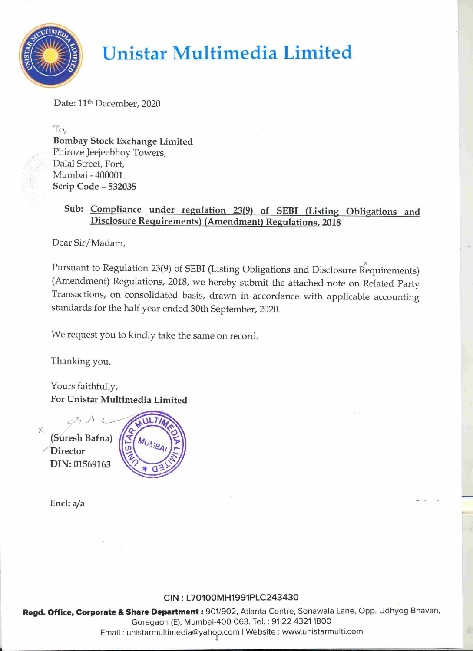

# Unistar Multimedia Limited

Date: 11<sup>th</sup> December, 2020

To, Bombay Stock Exchange Limited Phiroze Jeejeebhoy Towers, Dalal Street, Fort, Mumbai - 400001. Scrip Code - 532035

# Sub: Compliance under regulation 23(9) of SEBI (Listing Obligations and Disclosure Requirements) (Amendment) Regulations, 2018

Dear Sir/Madam,

Pursuant to Regulation 23(9) of SEBI (Listing Obligations and Disclosure Requirements) (Amendment) Regulations, 2018, we hereby submit the attached note on Related Party Transactions, on consolidated basis, drawn in accordance with applicable accounting standards for the half year ended 30th September, 2020. **Consider the Control of the Constraint Constraint Constraint Constraint Constraint Constraint Constrained Constrained Constrained Constrained Constrained Constrained Constrained Constrained Constrained Constrained Constr** 

We request you to kindly take the same on record.

Thanking you.

Yours faithfully, For Unistar Multimedia Limited  $\bigcirc$ 

(Suresh Bafna) **Director** DIN: 01569163



Encl: a/a

## CIN : L70100MH1991PLC243430

Regd. Office, Corporate & Share I<br>Goreg<br>Email : unistari Regd. Office, Corporate & Share Department : 901/902, Atlanta Centre, Sonawala Lane, Opp. Udhyog Bhavan, Goregaon (E), Mumbai-400 063. Tel. : 9122 4321 1800 Email : unistarmultimedia@yahoo.com | Website : www.unistarmulti.com

SSC... een algebra in die gewone van die gewone van die gewone van die gewone van die gewone van die gewone va